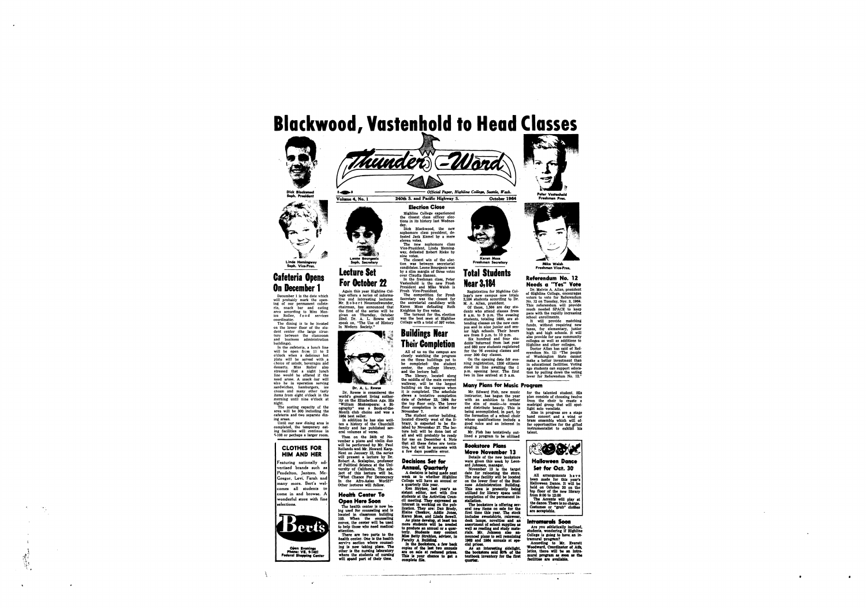





#### **Election Close**

**Highline College experienced the closest class officer elections in its history last Wednesday.** 

Dick Blackwood, the **sophomore clasi president, defeated Jack Kame1 by a mere eleven votes. The new sophomore class** 

**Vice-President, Linda Hemingway, defeated Robert Rieke by nine votes. The closest win of the elec-**

tion was between secretarial **candidates. Leone Bourgeois won by a slim margin of three votes**  over Claudia Hansen. **In the freshman class, Peter Vastenhold is the new I** 

President and Mike Walsh

The turnout for the election **was the best seen at Highline Collage with a total of 397 votes.** 

**kosh Vice-president. The competition for Frosh Secretary was the closest for the secretarial candidacy with Karen Moss defeating Ruth Knighton by five votes.** 

**Freshman VicaPror.** 

**Referendum No. 12 Needs a "Yes" Vote Dr. Melvin A. Allan, president** 

lege offers a series of informa**tive and interesting lectures.**  Mr. R o b e r t Neuenschwander, **chairman, has announced that the first of the series wil be given on Thursday, October 22nd. Dr. A.** L. **IRowse will speak on, "me Use of History** 

**M. A. Allan, president. Of these, 1,584 are day students who attend alasses from 8 a.m. to 5 p.m. The evening students, totaling 1600, are attending classes on the new campus sand in nine junior and senior high schools. Their hours**  are from 5 p.m. to 10 p.m.

**of Highline College, encourages voters to vote for Referendum No. 12 on Tuesday, Nov. 3, 1964. This referendum will provide much needed SPACE to keep pace with the rapidly increasing school enrollments. It wil provide matching** 

**funds, without requiring new taxes, for elementary, junior high and high schools. It will also provide for new community colleges as well as additions to Highline and other colleges.** 

Doctor Allan has said of Ref **erendum No. 12: "The people of Washington State canno make a better investment than in educational facilities. Voting age students can support education by pulling down the voting**  lever for Referendum 130.

On the opening date for eve**ning registration, 1200 citizens**  stood in line awaiting the 1 **p.m. opening bur. The first two in line arrived at 5 a.m.** 

**Cafeteria Opens Lecture Set over Claudia Hansen.**<br> **On December 1 Colombia Students For October 22 Near 3,184 On December 1** Again this year Highline Col-<br> **President and Mike Walsh is** Registration for Highli **December 1 is the date which** 

will probably mark the open**ing of our permanent cafeteria, snack bar and eating area according to Miss Mon**ica Roller, food services **coordinator.**  The dining is to be located

> All of us on the campus are **closeJy watc%ing .the progress on the three buildings yet to be completed: the student center, the college library, and the lecture hall.**

**The library, located the middle of the main covered walkway, will be the largest building on the campus when it** is **completed. The sohedule shows a tentative completion date of October** *23,* **1964 for**  the top floor only. The lower floor completion is slated for **November 7. Dr. A. L. Rowse Example 20 and Solution** Unitally the the largest **Many Plans for Music Program** 



**Registration for Highline College's new campus now totals 3,184 students according** to **Dr.** 

'phe **student center building, located directly west of the library,** *is* **expected to be finished by November** *27,* **The lecture hall will be dona last of all and** wil **probably be ready for use on December 4, Note thgt all these dates are tentativ6 but will be accurate with**  a few days possible error.

### **Decisions Set for** Annual, Quar

**eral volumes of verse,**  Then on the 24th of No**vember a piano and violin duo will be performed by Mr. Paul**  Rollando and Mr. Howard Karp. **Next on January 12, the series**  will present a lecture by Dr. **Robert A. Scalapino, professor of Political Science at the Uni**versity of California. The sub**ject of this ledura wil be, "What Chance For Democracy** In the Afro-Asian World?" **Other lectures will follow.** 

**Six hundred and four students-r-durned -from last year and 980 new students registered for the 76 evening classes and over** *300* **day classes.** 

**ard Johneon, manager. November** 13 is the targ **date for relocating the store.**  The new facility will be located **on the lower floor of the Business Admini~tration Building.** *This* **uea ia preently** *being* **utilized for library space until**  completion of the permanent installation.

**on the lower floor of the stu**dent center (the large struc**turcl between the classroom and business administration buildings). In the cafeteria, a lunch line** 

**will be open from 11** *to* **2 o'clock when a delicious hot ,plate will be served with ,a c,hoice of salads, beverages and desserts. Miss Roller also stressed that a night lunch lincl would be offered if the**  need arose. A snack bar will also be in operation serving **sandwiches, hamburgers, ice cream and many other tasty items from eight o'clock in the morning until nine o'clock at night.** 

> The bookstore is offering several new items on sale for the **first time,** thia **year,** *Tbe* **stock**  includes sweatshirts, rainwear, **desk lamps, novelties and an**  desk lamps, novelties and an<br>assortment of school supplies as assortment of school supplies as<br>well as reading and study materials. Mr. Johnson also announced plans to sell remaining<br>1963 and 1964 annuals at spe**drl prices,**

*A8* **an intensrting ddelight,** ' **the bookstore sold 80% of the district the first in the first of the first district** quartar.



**A decisions Set for**<br> **A decision is being made next**<br> **A decision is being made next**<br> **As to whether Highline week aa** to **whether iHighlhe College will have an annual or** 

**The seating capacity of the area will be 300 including the cafeteria and two separate dining areas.** 

**Until our new dining area is completed, the temporary eat**ing facilities will continue in **\$108 or perhaps a laryger room.** 

## **Buildings Near Their Completion**

All arrangements hav **been made for** this **year's Halloween Dance, It will be held on October. 30 on the top floor of the new library from** *900* to *12:Oo* 

The Accents will play a the dance. There is no charge, Costumes or "grub" clothes are acceptable.

#### Intramurals Soon

Are you athletically inclined students, wondering if Highline College is going to have an in-

tramural program?<br>According to Mr. Everett

 $\bullet$ 



 $\bullet$  $\bullet$ 

**Featuring nationally ad vertised brands such as Pendelton, Jantzen, Mc-Gregor, Levi, Farah and many more. Bert's welcomes all students to come in and browse. A wonderful store with fine aelections.** 

### **Health Center To Open Here Soon**



**There** *are* **two** parta *to* **the health center. One is-the health**  servies section where counsel**ing is** , **now taking place. The**  other is the nursing laboratory where the students of nursing<br>will spend part of their time.

 $\equiv$ . Let Limda Hemingway **Soon Company** and the closest win of the electric intervention of the electric company and tion was between secretarial and Freshman Secretary and Mike Walsh Soph. Secretary tion was between secretarial Fr

> **Dr. Rowse** is **considered the world's greatest living authority on the Elizabethan Age. His "William Shakespeare: a Biography" was a Book-of-the-**

> **Month club choice and was a .1964 best seller.**  *In* **addition he has also written a history of the Churchill family and has published sev-**

**Mr. Edward Fish, new. music instructor, has begun the year with an ambition to further the aim of music-to create and distribute beauty, This is being accomplished, in part, by the formation of a school choir whose qualifications include a good voice and an interest in singing.** 

**for the talented student. !His plan consists of choosing twelve from the choir** to **create a madrigal group that will spotlight solo vocalists. Also in progress are a stage** 

**band concert and a wind or ,brass ensemble which will, offer opportunities for the gifted instrumentalist to exhibit his Mr. Fish has tentatively out- talent.** 

**lined a program to be utilized** 

### **Bookstore Plans**

*k* 

www.comencement.com<del>ence all composition and the composition</del> of the composition of the contract of the composition of the composition of the composition of the composition of the composition of the composition of the comp



**Halloween Dance Set for Oct. 30** 

**Meve November 13 Details of the new bookstore were given this week by Leon-**

### **CLOTHES FOR HIM AND HER**

**a quarterly** thia **year. Ken Stryker,** ' **last year's** *w*  **sidant editor, met with five**  students at the Activities Council meeting. They expressed an interest in working on the pub**licrtion. mey am: Dan Brady, Elaine CBerkov, Addie Joaer, Karen Moa, and Unda Sewell, As** *plans* **develop, at least ten <br>
<b>As plans develop, at least ten**<br>
more students will be needed<br>
to produce an annual to produce an annual or a quar**terly. Studcnta** *may* **contact ,Mi88 Betty strchlrrr, advlror,** *in* 

**Faculty A Building.**<br>In the Bookstore, a few back **Copielr of** *tho* lrrt **two anma&**  are on sale at reduced prices. This is your chance to get a<br>complete file.

**The health center is now** be. ing used for counseling and is **located In classroom building**  105. When the counseling moves, the center will be used **to help those who need medicaI. attention,** 

. '. '

..

 $\bullet$ 

**c** 



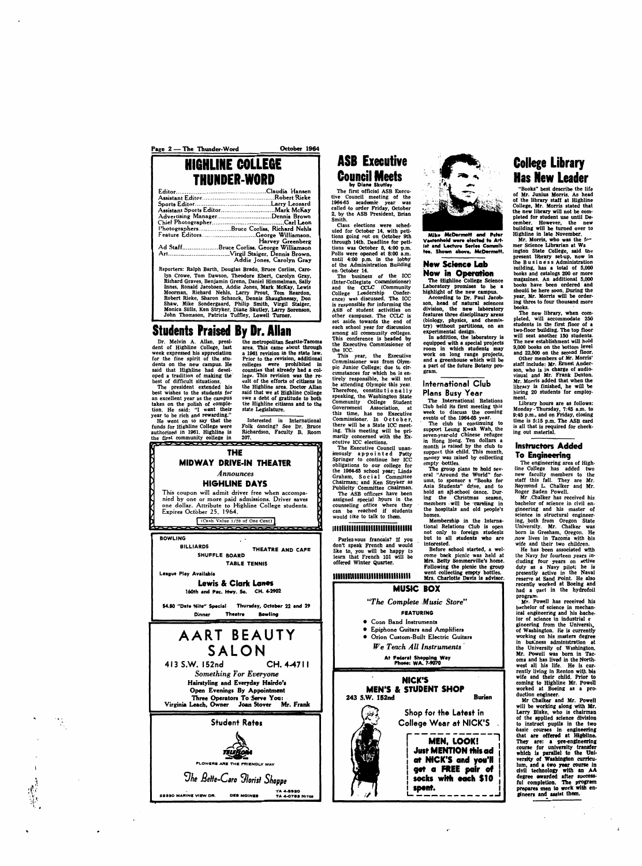Page 2 – The Thunder-Word Cctober 1964

# **HIGHLINE COLLEGE**

| Advertising ManagerDennis Brown           |
|-------------------------------------------|
|                                           |
| PhotographersBruce Corliss, Richard Nehls |
| Feature EditorsGeorge Williamson,         |
| <b>Harvey Greenberg</b>                   |
| Ad StaffBruce Corliss, George Williamson  |
|                                           |
| Addie Jones, Carolyn Gray                 |

Dr. Melvin A. Allan, presi-<br>dent of Highline College, last area. This came about through **week expressed his appreciation** a 1961 revision in the state law.<br>for the fine spirit of the stu-<br>Prior to the revision, additional for the fine spirit of the stu-<br>dents on the new campus. He said that Highline had devel-<br>oped a tradition of making the **oped a tradition of making the' lege. This revision was the** re-

**Reporters: Ralph Barth, Douglas Brado, Bruce Corliss, Carolyn Crowe, Tom Dawson, Theodore Ebert, Carolyn Gray, Richard Graves, Benjamin Grenn, Daniel Himmelman, Sally**  Innes, Ronald Jacobsen, Addie Jones, Mark McKay, Lewis **Moorman, Richard Nehls,** Larry **Prout, Torn Reardon, Robert Rieke, Sharon Schanck, Dennis Shaughnessy, Don Shaw, Mike Sondergaard, Philip Smith, Virgil Staiger, Monica Stills, Ken Stryker, Diane Skutley, Larry Sorenson, John Thomason, Patricia Tuffley, Lowell Turner.** 

## **Students Praised By Dr. Allan**<br>Dr. Melvin A. Allan, presi-<br>the metropolitan Se

Smith.<br>Class elections were sched-**Class elections were scheduled for October 14, with petitions going nut on October 9th through 14th. Deadline for petitions was October 8, 4:OO p.m. Polls were** *opened* **at** *8:OO* **a.m. until 4:OO p.m. in the lobby of the Administration Building on. October 14. The business of the ICC** 

**best wishes to the students for said that we at Highline College**  takes on the polish of comple-<br>tion. He said: "I want their state Legislature. tion. He said: "I want their **year to be rich and rewarding.''** 

area. This came about through a 1961 revision in the state law. colleges were prohibited in counties that already had a colest of difficult situations. sult of the efforts of citizens in The president extended his the Highline area. Doctor Allan The president extended his the Highline area. Doctor Allan best wishes to the students for said that we at Highline College owe a debt of gratitude to both the Highline citizens and to the

He went on to say that the Interested in International funds for Highline College were Folk dancing? See Dr. Bruce **funds for Highline College were Folk dancing? See Dr. Bruce**  Richardson, Faculty B, Room 207.



don't speak French and would<br>like to, you will be happy to<br>hearn that Enanch 101 will be **learn that French 101 will be offered Winter Quarter.** 

**Parlez-vous francais?** If you

**BOWLING** *<sup>I</sup>*

 $\mathcal{F}_{\mathcal{L}}^{\left( \mathcal{L}\right) }$  $\mathcal{I}_{\mathcal{N}_{\mathcal{N}}}$ 



**The club is continuing to support Leung Kwak Wah, the seven-yearold Chinese refugee in Hong Hong. Ten dollars a month is raised by** *the* **club** to **support this child. This month, money was raised by collecting**  empty bottles.

## **ASB Executive by Dime Skutley**

**The first official ASB Ekecutive Council meeting of the 1964.65 academic year was called** *lo* **order Friday, October 2, by the ASB President, Brian** 

> Before school started, a wel**come ,back picnic was held at Mrs. Betty Sommerville's home. Following the picnic the group**

#### 11111111111111111111111111111111 **went collecting empty bottles. Mrs. Charlotte Devis** is **advisor.**

At Federal Shopping Way<br>Phone: WA. 7-9070 \_\_1\_1\_.

**NICK'S MEN'S & STUDENT SHOP 243 S.W. 152nd**<br>
Shop for the Latest in **Shop for the Latest in College Wear at NICK'S MEN, LOOK! Just MENTION this ad** at NHCK'S and you'll get a FREE pair of socks with each \$10 spent.

## **College library Has New Leader**<br>"Books" best describe the life

**(Inter-Collegiate Commissioner)**  and the **CCLC** (Community **College Leadership Cbnference) was discussed. The, ICC is responsible for informing the ASB of student activities on other campuses. The** *CCLC* **is set aside towards the end of each school year for discussion among all community colleges. This conference is headed by the Becutive Commissioner of the ICC.** 

books.<br>**The new library**, when com-**The new library, when cornpleted, will accommodate** *250*  **students in the first floor of a two-floor building. The top floor will seat another 150 students. The new establishment will hold 9,000 books on the bottom level and** *22,500* **on the second floor.** 

ment.<br>Library hours are as follows: **Library hours are as follows: Monday -Thursday,** *7:45* **a.m. to @:45 p.m., and on F'riday, closing time is 5:15 p.m. The ASB card is all that** is **required for checking out material.** 

### **Instructors Added To Engineering**

**This year, the Executive**  Commissioner was from Olym**pic Junior College; due** to **cir**cumstances for which he is en**tirely responsible, he will not be attending Olympic this year. 'Therefore, constitu t i o ne 1 1 y**  speaking, the Washington State Community College Student **Government Association, at this time, has no Executive Commissioner. In** *0* **c to b e r,**  this time, has no Executive<br>
Commissioner. In October,<br>
there will be a State ICC meet-<br> **ing.** This meeting will be primarily concerned with the **Executive ICC elections.** 

> **Mr .Chalker has received his bachelor of science in civil engineering and his master of science in structural engineer**ing, both from Oregon State **University.** *Mr.* **Chalker was**  born in **Gresham, Oregon. He now lives in Tacoma with his wife and their two children.**  He has been associated with the Navy for fourteen years in**cluding four years on active**  duty as a Navy pilot; he is **presently active in the Naval**  reserve at Sand Point. He also **recently worked at Boeing and had a part in the hydrofoil program.**  . **Mr. Powell has received his**  bachelor of science in mechan**ical engineering and his bache**lor of science in industrial e<sup>.</sup> **gineering from the Universh,**  of Washington. He is currently **working on his master8 degree in business administration at the University of Washington.**  Mr. Powell was born in Tacoma and has lived in the North-<br>west all his life. He is cur**west all his life. He is currently living In Renton with Ms wife and their child. Prior to coming** to **Highline Mr. Powell worked at Boeing as a production engineer. Mr Chalkex and Mr. Powell will be working along with Mr.**  Larry Blake, who is chairman **of the applied science divi8ion**  to instruct pupils in the two **basic** courses in engineering that are offered at Highline. They are: **a** pre-engineering course for university transfer which is parallel to the University of Washington curriculum, and a two year course in **dvil technology with an AA degree warded after 8uccessful completion. The progrem prepares men** *to* **work** with **cn**gineers and assist them.

**The Executive Council unanimously appointed Patty**  Springer to continue her ICC **obligations to our college for the 106445 school year; Linda**  Graham, Social Committee **Chairman; and Ken Stryker as Publicity Committee Chairman. The ASB officers have been assigned special hours in the. counseling office where they** . **can be reached if students would like to talk to theen.** 

### 



Mike McDermott and Peter Vastenhold were elected to Artist and Lecture Series Committee. Shown above, McDermott.

#### **New Sclenee Lab Now in Operutoh**

**The !Highline College Science Laboratory promises** to **be a highlight of the new campus.** 

**According** to **Dr. Paul Jacab. son, 4ead of natural sciences division, the new laboratory features three disciplinary areas (biobgy, physics, and chemistry) without partitions, on an experimental design.** 

In **addition, the laboratory** is **equipped with a special projects room in which students may work on long range projects, and a greenhouse which will be a part of the future Botany program.** 

### **International Club**

**Plans Busy Year The .International Relations Club held** its **first meeting this week tu discuss the coming events of the 1964-65 year.** 

**The group plans** to **hold several "Around the World" forum, to sponsor a "Books for Asia Students" drive, and to hold an ajl-school dance. Dur**ing the Christmas season, members - will be caroling in **the hospitals and old people's homes.** 

**Membership in the International Relations Club is open not only** *to* **foreign students but to all Hudents who are interested.** 

### **MUSK: BOX**

*"The Complete -Music Store"* 

#### **FEATURING**

- \* **Conn Band Instruments**
- *0* **Epiphone Guitars and Amplifiers**
- *0* **Orion Custom-Built Electric Guitars**

*We Teach All lnstruments* 

**"Books" best describe the life of Mr. Junius Morris. As head of the library staff at Highline College, Mr. Morris stated that**  the new library will not be com**pleted for student** use **until December. However, the new building wil be turned over to Highline in late November.** 

**Mr. Morris, who was the fv mer Science Librarian at Wa ingtdn State College, said the present 1)brarY set-up, now in the B u s i n e s s Administration building, has a** *total* **of 5,000 books and catalogs** *200* **or more**  magazines. An additional 5,000 **books have been ordered and should be here soon. During the year, Mr. Morris will be ordering** *three* **to four thousand more** 

**Other members of Mr. Morris' staff include: Mr. Ernest Anderson, who is** in **charge of audiovisual and Mr. Frank Denton. Mr. Morris added that when the library** is **finished, he will be hiring 20 students for employ-**

**The engineering area of High-Pine College has dded two new faculty members to the staff this fall. They are Mr.**  Raymond L. Chalker and Mr. **Roger Baden Powell.**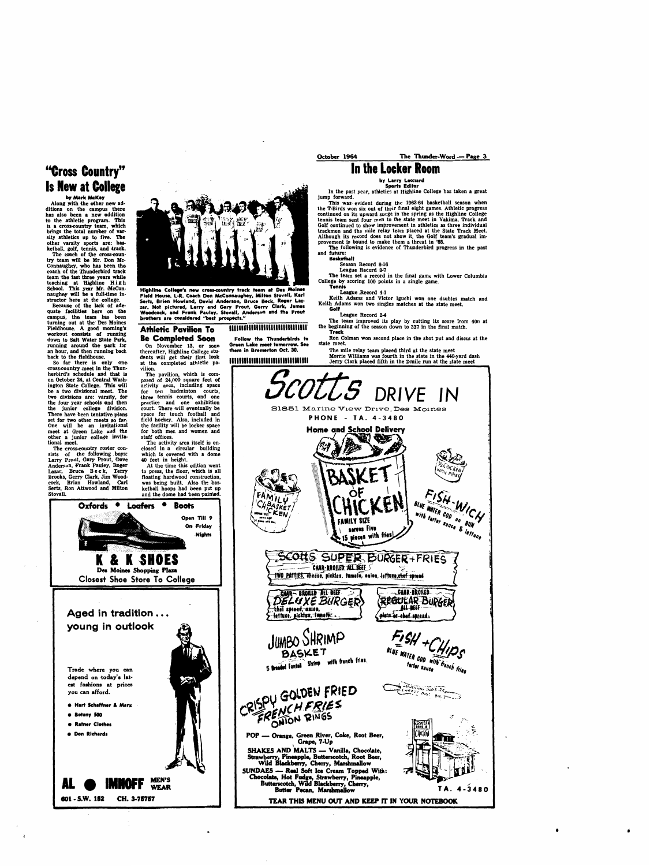## **"Cross Country" In the locker Room Is New at Colege**

**by Mark McKay Along yith the other new additions on the campus there has also been a new addition ta the athletic program. This**  is a cross-country team, which brings the total number of var**sity athletics up** to **five. The other varsity sports are: basketball, golf, tennis, and track.** 

The coach of the cross-country **team wiH be Mr. Don Mc-Connaughey, who has** been **the coach of the Thunderbird track team -the last three years while teaching at Highline High**  School. This year Mr. McConnaughey will be a full-time in**structor here at the college.** 

**Because of the lack of adequate facilities here on the**  campus, the team has been **turning out at the. Des Moines Fieldhouse. A good morning's workout consists of running down tu Salt Water State Park, running around the park for an hour, and then running back back** to **the fieldhouse.** 

The cross-country roster con**sists of the following .boys:**  Larry **Prout,** *Gary* **Prout, Dave Anderson, Frank Pauley, Roger Lazar, Bruce Beck, Terry**  Brooks, Gerry Clark, Jim Wood**cock, Brian Howland, Carl**  Serts, Ron Attwood and Milton **Stovall.** 

Oxfords

 $\bullet$ 



Highline College's new cross-country track team at Des Moines Field House, L-R. Coach Don McConnaughey, Milton Stovall, Karl Sertz, Brien Howland, David Anderson, Bruce Beck, Roger Laz-Woodcock, and Frank Pauley. Stovall, Anderson and the Prout **Colf**<br> **brothers are considered "best prospects."**<br> **Cague Record 2-4** The team improved its play by cutting its score from 400 at **The team improved its play by** 

**So far there** is **only one crosscountry meet in the Thunherbird's schedule and that is**  on October 24, at Central Washington State College. This will **be a two divisional meet. The two divisions are: varsity, for the four year schools and then the junior college division.**  There have been tentative plans **set for two other meets** *so* **far. One wil be an invitational meet at Green Lake and the other a junior college invita. tional meet.** 

#### **Athletic Pavilion To Be Completed Soon**

**by Larry Leonard Sports Editor** 

The activity area itself is en**closed in a circular building which is covered with a dome 40 feet in height.** 

**At the time this edition went to press, the floor, which is all floating hardwood construdon, was being built. Also the basketball hoops had been put up**  and the dome had been painted.

**Boots** 

 $\bullet$ 

Loafers

**In the past year, athletics at Highline College has taken a great jump forward.** 

**ICENCE IF THE CONSULTER SEASURE THE CONSULTER SEASURE THE SEASURE THE SEASURE THE SEASURE SEASURE THE SEASURE THE SEASURE THE SEASURE THE SEASURE THE SEASURE THE SEASURE THE SEASON DESCRIPTION OF A PERIMPTER SEASON DEPART track** 

Ron Colman won second place in the shot put and discus at the

**This was. evident during the 1963-64 basketball season when the T-Birds won six out of their final eight games. Athletic progress continued on its upward surge in the spring as the Highline College tennis team sent four men to the state meet in Yakima. Track and Golf continued to show improvement in athletics as three individual trackmen and the mile relay team placed at the State Track Meet. Although its record does not show it, the Golf team's gradual improvement is bound** *to* **make them a threat in** *'65.* 

The mile relay team placed third at the state meet<br>Morrie Williams was fourth in the state in the 440-yard dash **1111111ll11ll1111111lllllllllllll Mode Williams was fourth in the state in the 440-yard dash** . **Jerry Clark placed fifth in the 2-mile run at the state meet** 

**The following is evidence of Thunderbird progress in the past and future:** 

#### **Basketball**

**Season Record 8-16** 

**League Record** *8-7* 

The team set a record in the final game with Lower Columbia **College by scoring 100 points in a single game.<br>
<b>Tennis**<br> **League Record 4-1** 

Keith Adams and Victor Iguchi won one doubles match and Keith Adams won two singles matches at the state meet.

**On November 13, or soon thereafter, Highline College students .will get their first look at the completed athletic pavilion.** 

**The pavilion, which is composed of 24,000 square feet of activity area, including space for ten badminton courts, three tennis courts, and one practice and one exhibition**  court. There will eventually be **space for touch football and field hockey.** *Also,* **included in**  the facility will be locker space **for both men and women and staff offices.** 

**Open Till** *9* 

On Friday

**Nights** 

**Follow the Thunderbirds to Bon Co**<br>**Green Lake meet tomorrow. See** *state meet.***<br>
<b>them in Bremerton Oct. 30.** The mi





.

October 1964 The Thunder-Word - Page 3